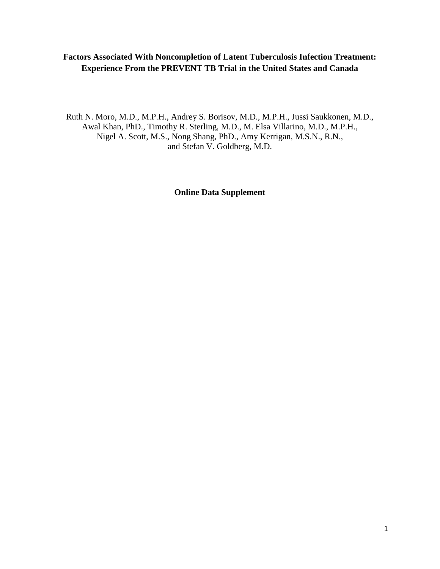## **Factors Associated With Noncompletion of Latent Tuberculosis Infection Treatment: Experience From the PREVENT TB Trial in the United States and Canada**

Ruth N. Moro, M.D., M.P.H., Andrey S. Borisov, M.D., M.P.H., Jussi Saukkonen, M.D., Awal Khan, PhD., Timothy R. Sterling, M.D., M. Elsa Villarino, M.D., M.P.H., Nigel A. Scott, M.S., Nong Shang, PhD., Amy Kerrigan, M.S.N., R.N., and Stefan V. Goldberg, M.D.

**Online Data Supplement**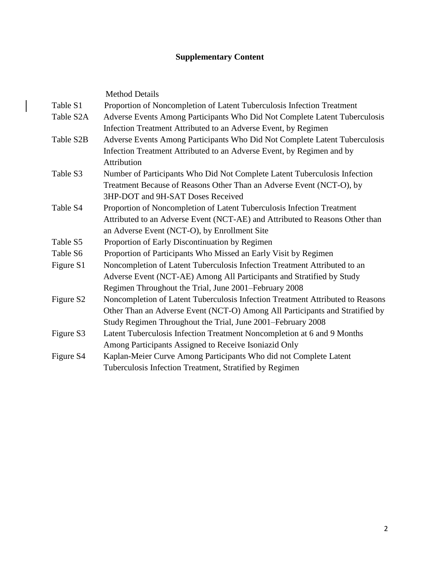# **Supplementary Content**

 $\begin{array}{c} \begin{array}{c} \end{array} \end{array}$ 

|                       | <b>Method Details</b>                                                          |
|-----------------------|--------------------------------------------------------------------------------|
| Table S1              | Proportion of Noncompletion of Latent Tuberculosis Infection Treatment         |
| Table S2A             | Adverse Events Among Participants Who Did Not Complete Latent Tuberculosis     |
|                       | Infection Treatment Attributed to an Adverse Event, by Regimen                 |
| Table S2B             | Adverse Events Among Participants Who Did Not Complete Latent Tuberculosis     |
|                       | Infection Treatment Attributed to an Adverse Event, by Regimen and by          |
|                       | Attribution                                                                    |
| Table S3              | Number of Participants Who Did Not Complete Latent Tuberculosis Infection      |
|                       | Treatment Because of Reasons Other Than an Adverse Event (NCT-O), by           |
|                       | 3HP-DOT and 9H-SAT Doses Received                                              |
| Table S4              | Proportion of Noncompletion of Latent Tuberculosis Infection Treatment         |
|                       | Attributed to an Adverse Event (NCT-AE) and Attributed to Reasons Other than   |
|                       | an Adverse Event (NCT-O), by Enrollment Site                                   |
| Table S5              | Proportion of Early Discontinuation by Regimen                                 |
| Table S6              | Proportion of Participants Who Missed an Early Visit by Regimen                |
| Figure S1             | Noncompletion of Latent Tuberculosis Infection Treatment Attributed to an      |
|                       | Adverse Event (NCT-AE) Among All Participants and Stratified by Study          |
|                       | Regimen Throughout the Trial, June 2001–February 2008                          |
| Figure S <sub>2</sub> | Noncompletion of Latent Tuberculosis Infection Treatment Attributed to Reasons |
|                       | Other Than an Adverse Event (NCT-O) Among All Participants and Stratified by   |
|                       | Study Regimen Throughout the Trial, June 2001–February 2008                    |
| Figure S3             | Latent Tuberculosis Infection Treatment Noncompletion at 6 and 9 Months        |
|                       | Among Participants Assigned to Receive Isoniazid Only                          |
| Figure S4             | Kaplan-Meier Curve Among Participants Who did not Complete Latent              |
|                       | Tuberculosis Infection Treatment, Stratified by Regimen                        |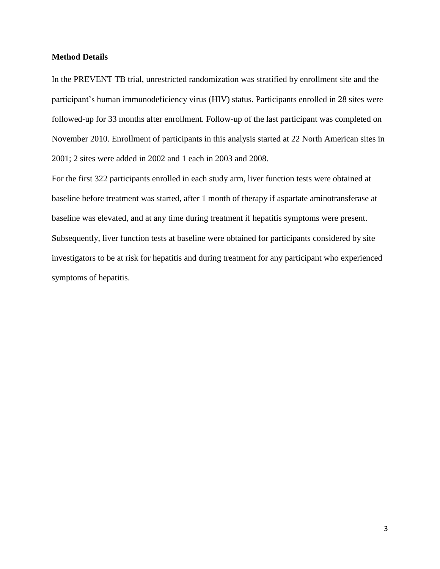#### **Method Details**

In the PREVENT TB trial, unrestricted randomization was stratified by enrollment site and the participant's human immunodeficiency virus (HIV) status. Participants enrolled in 28 sites were followed-up for 33 months after enrollment. Follow-up of the last participant was completed on November 2010. Enrollment of participants in this analysis started at 22 North American sites in 2001; 2 sites were added in 2002 and 1 each in 2003 and 2008.

For the first 322 participants enrolled in each study arm, liver function tests were obtained at baseline before treatment was started, after 1 month of therapy if aspartate aminotransferase at baseline was elevated, and at any time during treatment if hepatitis symptoms were present. Subsequently, liver function tests at baseline were obtained for participants considered by site investigators to be at risk for hepatitis and during treatment for any participant who experienced symptoms of hepatitis.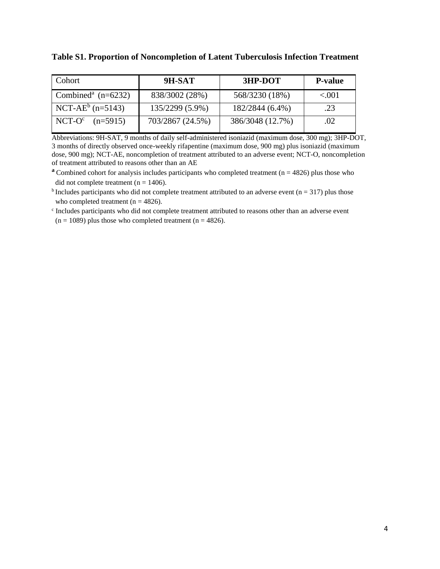**Table S1. Proportion of Noncompletion of Latent Tuberculosis Infection Treatment** 

| Cohort                             | 9H-SAT           | 3HP-DOT          | <b>P-value</b> |
|------------------------------------|------------------|------------------|----------------|
| Combined <sup>a</sup> ( $n=6232$ ) | 838/3002 (28%)   | 568/3230 (18%)   | < 0.01         |
| NCT-AE $^{\rm b}$ (n=5143)         | 135/2299 (5.9%)  | 182/2844 (6.4%)  | .23            |
| $NCT-O^c$ (n=5915)                 | 703/2867 (24.5%) | 386/3048 (12.7%) | .02            |

Abbreviations: 9H-SAT, 9 months of daily self-administered isoniazid (maximum dose, 300 mg); 3HP-DOT, 3 months of directly observed once-weekly rifapentine (maximum dose, 900 mg) plus isoniazid (maximum dose, 900 mg); NCT-AE, noncompletion of treatment attributed to an adverse event; NCT-O, noncompletion of treatment attributed to reasons other than an AE

**a** Combined cohort for analysis includes participants who completed treatment ( $n = 4826$ ) plus those who did not complete treatment ( $n = 1406$ ).

 $<sup>b</sup>$  Includes participants who did not complete treatment attributed to an adverse event (n = 317) plus those</sup> who completed treatment ( $n = 4826$ ).

c Includes participants who did not complete treatment attributed to reasons other than an adverse event  $(n = 1089)$  plus those who completed treatment  $(n = 4826)$ .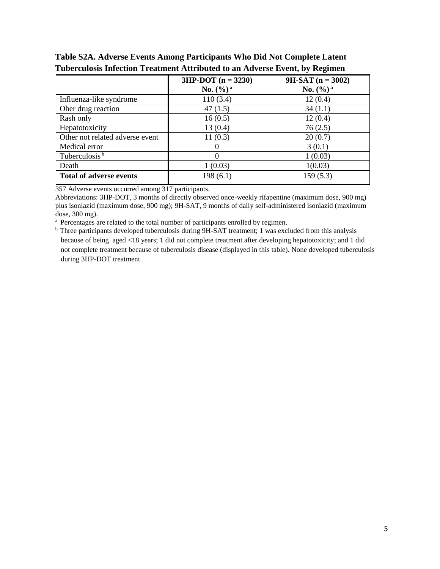|                                 | $3HP-DOT (n = 3230)$  | $9H-SAT$ (n = 3002)   |
|---------------------------------|-----------------------|-----------------------|
|                                 | No. $(\frac{6}{9})^a$ | No. $(\frac{6}{9})^a$ |
| Influenza-like syndrome         | 110(3.4)              | 12(0.4)               |
| Oher drug reaction              | 47(1.5)               | 34(1.1)               |
| Rash only                       | 16(0.5)               | 12(0.4)               |
| Hepatotoxicity                  | 13(0.4)               | 76(2.5)               |
| Other not related adverse event | 11(0.3)               | 20(0.7)               |
| Medical error                   | $\theta$              | 3(0.1)                |
| Tuberculosis <sup>b</sup>       | $\Omega$              | 1(0.03)               |
| Death                           | 1(0.03)               | 1(0.03)               |
| <b>Total of adverse events</b>  | 198 (6.1)             | 159(5.3)              |

### **Table S2A. Adverse Events Among Participants Who Did Not Complete Latent Tuberculosis Infection Treatment Attributed to an Adverse Event, by Regimen**

357 Adverse events occurred among 317 participants.

 Abbreviations: 3HP-DOT, 3 months of directly observed once-weekly rifapentine (maximum dose, 900 mg) plus isoniazid (maximum dose, 900 mg); 9H-SAT, 9 months of daily self-administered isoniazid (maximum dose, 300 mg).

<sup>a</sup> Percentages are related to the total number of participants enrolled by regimen.

<sup>b</sup> Three participants developed tuberculosis during 9H-SAT treatment; 1 was excluded from this analysis because of being aged <18 years; 1 did not complete treatment after developing hepatotoxicity; and 1 did not complete treatment because of tuberculosis disease (displayed in this table). None developed tuberculosis during 3HP-DOT treatment.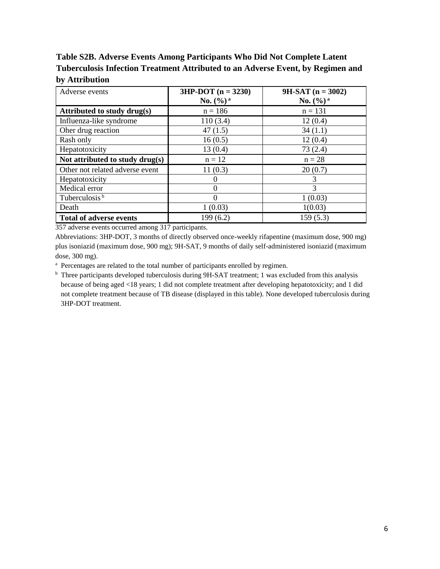**Table S2B. Adverse Events Among Participants Who Did Not Complete Latent Tuberculosis Infection Treatment Attributed to an Adverse Event, by Regimen and by Attribution**

| Adverse events                  | $3HP-DOT (n = 3230)$  | $9H-SAT (n = 3002)$   |
|---------------------------------|-----------------------|-----------------------|
|                                 | No. $(\frac{6}{9})^a$ | No. $(\frac{6}{9})^a$ |
| Attributed to study drug(s)     | $n = 186$             | $n = 131$             |
| Influenza-like syndrome         | 110(3.4)              | 12(0.4)               |
| Oher drug reaction              | 47(1.5)               | 34(1.1)               |
| Rash only                       | 16(0.5)               | 12(0.4)               |
| Hepatotoxicity                  | 13(0.4)               | 73(2.4)               |
| Not attributed to study drug(s) | $n = 12$              | $n = 28$              |
| Other not related adverse event | 11(0.3)               | 20(0.7)               |
| Hepatotoxicity                  | 0                     | 3                     |
| Medical error                   | 0                     | 3                     |
| Tuberculosis <sup>b</sup>       | $\theta$              | 1(0.03)               |
| Death                           | 1(0.03)               | 1(0.03)               |
| <b>Total of adverse events</b>  | 199 (6.2)             | 159(5.3)              |

357 adverse events occurred among 317 participants.

 Abbreviations: 3HP-DOT, 3 months of directly observed once-weekly rifapentine (maximum dose, 900 mg) plus isoniazid (maximum dose, 900 mg); 9H-SAT, 9 months of daily self-administered isoniazid (maximum dose, 300 mg).

<sup>a</sup> Percentages are related to the total number of participants enrolled by regimen.

 $<sup>b</sup>$  Three participants developed tuberculosis during 9H-SAT treatment; 1 was excluded from this analysis</sup> because of being aged <18 years; 1 did not complete treatment after developing hepatotoxicity; and 1 did not complete treatment because of TB disease (displayed in this table). None developed tuberculosis during 3HP-DOT treatment.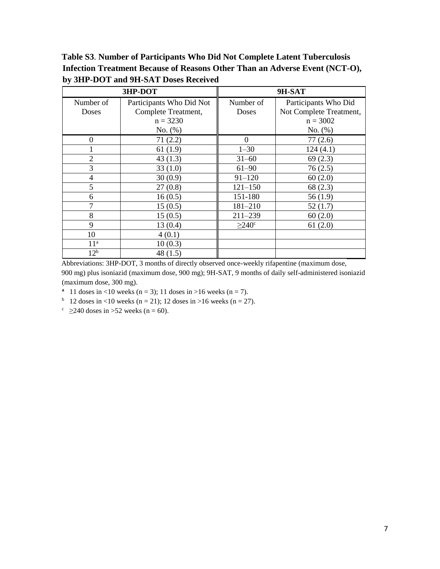**Table S3**. **Number of Participants Who Did Not Complete Latent Tuberculosis Infection Treatment Because of Reasons Other Than an Adverse Event (NCT-O), by 3HP-DOT and 9H-SAT Doses Received** 

| 3HP-DOT         |                          | 9H-SAT                  |                         |
|-----------------|--------------------------|-------------------------|-------------------------|
| Number of       | Participants Who Did Not | Number of               | Participants Who Did    |
| Doses           | Complete Treatment,      | Doses                   | Not Complete Treatment, |
|                 | $n = 3230$               |                         | $n = 3002$              |
|                 | No. (%)                  |                         | No. (%)                 |
| $\theta$        | 71(2.2)                  | $\Omega$                | 77(2.6)                 |
|                 | 61(1.9)                  | $1 - 30$                | 124(4.1)                |
| $\overline{2}$  | 43(1.3)                  | $31 - 60$               | 69(2.3)                 |
| 3               | 33(1.0)                  | $61 - 90$               | 76(2.5)                 |
| $\overline{4}$  | 30(0.9)                  | $91 - 120$              | 60(2.0)                 |
| 5               | 27(0.8)                  | $121 - 150$             | 68(2.3)                 |
| 6               | 16(0.5)                  | 151-180                 | 56(1.9)                 |
| 7               | 15(0.5)                  | $181 - 210$             | 52(1.7)                 |
| 8               | 15(0.5)                  | $211 - 239$             | 60(2.0)                 |
| 9               | 13(0.4)                  | $\geq$ 240 <sup>c</sup> | 61(2.0)                 |
| 10              | 4(0.1)                   |                         |                         |
| 11 <sup>a</sup> | 10(0.3)                  |                         |                         |
| 12 <sup>b</sup> | 48(1.5)                  |                         |                         |

Abbreviations: 3HP-DOT, 3 months of directly observed once-weekly rifapentine (maximum dose, 900 mg) plus isoniazid (maximum dose, 900 mg); 9H-SAT, 9 months of daily self-administered isoniazid (maximum dose, 300 mg).

**a** 11 doses in <10 weeks (n = 3); 11 doses in >16 weeks (n = 7).

<sup>b</sup> 12 doses in <10 weeks (n = 21); 12 doses in >16 weeks (n = 27).

<sup>c</sup>  $\geq$  240 doses in > 52 weeks (n = 60).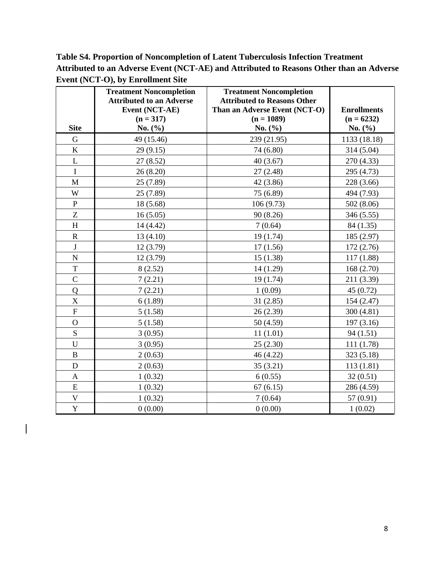**Table S4. Proportion of Noncompletion of Latent Tuberculosis Infection Treatment Attributed to an Adverse Event (NCT-AE) and Attributed to Reasons Other than an Adverse Event (NCT-O), by Enrollment Site**

|               | <b>Treatment Noncompletion</b>  | <b>Treatment Noncompletion</b>                |                                    |
|---------------|---------------------------------|-----------------------------------------------|------------------------------------|
|               | <b>Attributed to an Adverse</b> | <b>Attributed to Reasons Other</b>            |                                    |
|               | Event (NCT-AE)<br>$(n = 317)$   | Than an Adverse Event (NCT-O)<br>$(n = 1089)$ | <b>Enrollments</b><br>$(n = 6232)$ |
| <b>Site</b>   | No. $(\% )$                     | No. (%)                                       | No. $(\% )$                        |
| G             | 49 (15.46)                      | 239 (21.95)                                   | 1133 (18.18)                       |
| $\mathbf K$   | 29(9.15)                        | 74 (6.80)                                     | 314 (5.04)                         |
| $\mathbf L$   | 27(8.52)                        | 40(3.67)                                      | 270 (4.33)                         |
| $\mathbf I$   | 26(8.20)                        | 27(2.48)                                      | 295 (4.73)                         |
| M             | 25 (7.89)                       | 42 (3.86)                                     | 228 (3.66)                         |
| W             | 25 (7.89)                       | 75 (6.89)                                     | 494 (7.93)                         |
| $\, {\bf P}$  | 18 (5.68)                       | 106 (9.73)                                    | 502 (8.06)                         |
| Z             | 16(5.05)                        | 90 (8.26)                                     | 346 (5.55)                         |
| H             | 14 (4.42)                       | 7(0.64)                                       | 84 (1.35)                          |
| $\mathbf R$   | 13(4.10)                        | 19 (1.74)                                     | 185 (2.97)                         |
| J             | 12 (3.79)                       | 17(1.56)                                      | 172 (2.76)                         |
| ${\bf N}$     | 12 (3.79)                       | 15(1.38)                                      | 117 (1.88)                         |
| T             | 8(2.52)                         | 14 (1.29)                                     | 168(2.70)                          |
| $\mathcal{C}$ | 7(2.21)                         | 19 (1.74)                                     | 211 (3.39)                         |
| Q             | 7(2.21)                         | 1(0.09)                                       | 45(0.72)                           |
| $\mathbf X$   | 6(1.89)                         | 31(2.85)                                      | 154 (2.47)                         |
| ${\bf F}$     | 5(1.58)                         | 26 (2.39)                                     | 300 (4.81)                         |
| $\mathbf O$   | 5(1.58)                         | 50 (4.59)                                     | 197(3.16)                          |
| S             | 3(0.95)                         | 11(1.01)                                      | 94(1.51)                           |
| $\mathbf U$   | 3(0.95)                         | 25(2.30)                                      | 111 (1.78)                         |
| $\, {\bf B}$  | 2(0.63)                         | 46 (4.22)                                     | 323 (5.18)                         |
| $\mathbf D$   | 2(0.63)                         | 35(3.21)                                      | 113 (1.81)                         |
| $\mathbf{A}$  | 1(0.32)                         | 6(0.55)                                       | 32(0.51)                           |
| E             | 1(0.32)                         | 67(6.15)                                      | 286 (4.59)                         |
| $\mathbf V$   | 1(0.32)                         | 7(0.64)                                       | 57 (0.91)                          |
| $\mathbf{Y}$  | 0(0.00)                         | 0(0.00)                                       | 1(0.02)                            |

 $\begin{array}{c} \hline \end{array}$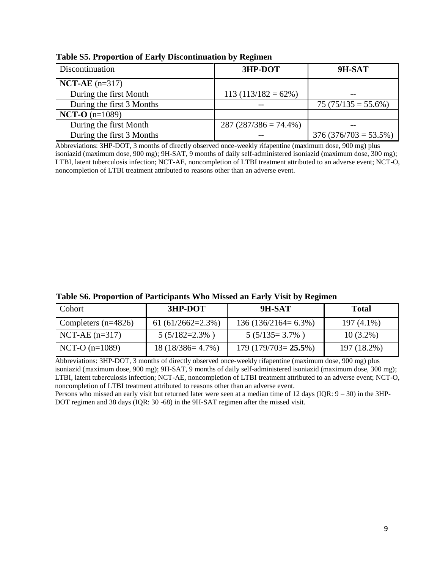| Discontinuation           | 3HP-DOT                  | 9H-SAT                   |
|---------------------------|--------------------------|--------------------------|
| $NCT-AE$ (n=317)          |                          |                          |
| During the first Month    | $113(113/182=62\%)$      |                          |
| During the first 3 Months |                          | $75 (75/135 = 55.6\%)$   |
| $NCT-O (n=1089)$          |                          |                          |
| During the first Month    | $287 (287/386 = 74.4\%)$ |                          |
| During the first 3 Months |                          | $376 (376/703 = 53.5\%)$ |

 **Table S5. Proportion of Early Discontinuation by Regimen**

 Abbreviations: 3HP-DOT, 3 months of directly observed once-weekly rifapentine (maximum dose, 900 mg) plus isoniazid (maximum dose, 900 mg); 9H-SAT, 9 months of daily self-administered isoniazid (maximum dose, 300 mg); LTBI, latent tuberculosis infection; NCT-AE, noncompletion of LTBI treatment attributed to an adverse event; NCT-O, noncompletion of LTBI treatment attributed to reasons other than an adverse event.

| Cohort                | 3HP-DOT             | 9H-SAT                | Total        |
|-----------------------|---------------------|-----------------------|--------------|
| Completers $(n=4826)$ | 61 $(61/2662=2.3%)$ | $136(136/2164=6.3\%)$ | $197(4.1\%)$ |
| $NCT-AE (n=317)$      | $5(5/182=2.3\%)$    | $5(5/135=3.7\%)$      | $10(3.2\%)$  |
| NCT-O $(n=1089)$      | $18(18/386=4.7\%)$  | $179(179/703=25.5\%)$ | 197 (18.2%)  |

Abbreviations: 3HP-DOT, 3 months of directly observed once-weekly rifapentine (maximum dose, 900 mg) plus isoniazid (maximum dose, 900 mg); 9H-SAT, 9 months of daily self-administered isoniazid (maximum dose, 300 mg); LTBI, latent tuberculosis infection; NCT-AE, noncompletion of LTBI treatment attributed to an adverse event; NCT-O, noncompletion of LTBI treatment attributed to reasons other than an adverse event.

Persons who missed an early visit but returned later were seen at a median time of 12 days (IQR:  $9 - 30$ ) in the 3HP-DOT regimen and 38 days (IQR: 30 -68) in the 9H-SAT regimen after the missed visit.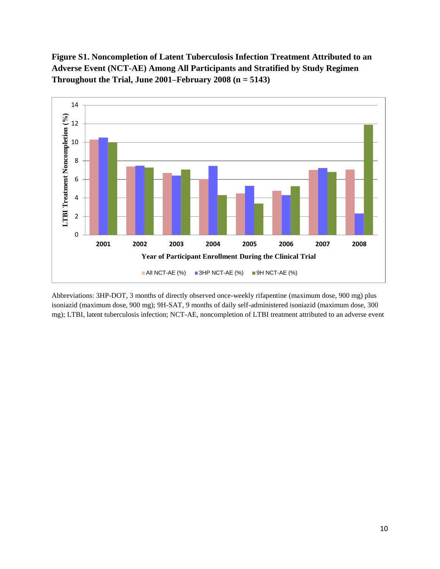**Figure S1. Noncompletion of Latent Tuberculosis Infection Treatment Attributed to an Adverse Event (NCT-AE) Among All Participants and Stratified by Study Regimen Throughout the Trial, June 2001–February 2008 (n = 5143)**



Abbreviations: 3HP-DOT, 3 months of directly observed once-weekly rifapentine (maximum dose, 900 mg) plus isoniazid (maximum dose, 900 mg); 9H-SAT, 9 months of daily self-administered isoniazid (maximum dose, 300 mg); LTBI, latent tuberculosis infection; NCT-AE, noncompletion of LTBI treatment attributed to an adverse event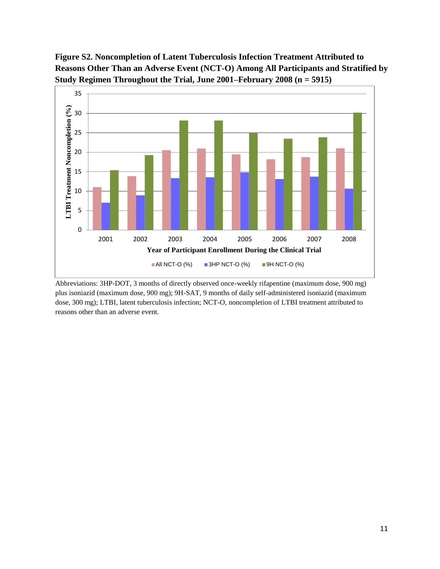# **Figure S2. Noncompletion of Latent Tuberculosis Infection Treatment Attributed to Reasons Other Than an Adverse Event (NCT-O) Among All Participants and Stratified by Study Regimen Throughout the Trial, June 2001–February 2008 (n = 5915)**



 Abbreviations: 3HP-DOT, 3 months of directly observed once-weekly rifapentine (maximum dose, 900 mg) plus isoniazid (maximum dose, 900 mg); 9H-SAT, 9 months of daily self-administered isoniazid (maximum dose, 300 mg); LTBI, latent tuberculosis infection; NCT-O, noncompletion of LTBI treatment attributed to reasons other than an adverse event.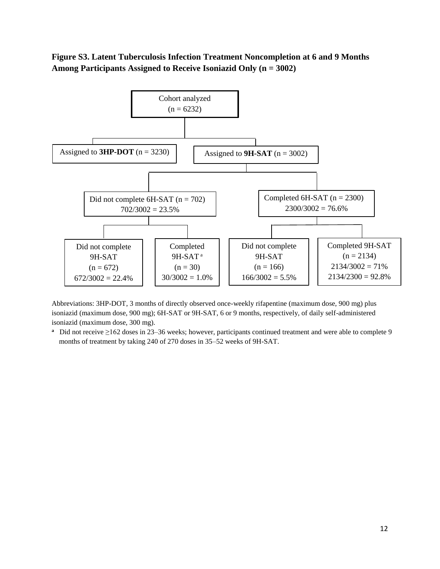### **Figure S3. Latent Tuberculosis Infection Treatment Noncompletion at 6 and 9 Months Among Participants Assigned to Receive Isoniazid Only (n = 3002)**



Abbreviations: 3HP-DOT, 3 months of directly observed once-weekly rifapentine (maximum dose, 900 mg) plus isoniazid (maximum dose, 900 mg); 6H-SAT or 9H-SAT, 6 or 9 months, respectively, of daily self-administered isoniazid (maximum dose, 300 mg).

**a** Did not receive ≥162 doses in 23–36 weeks; however, participants continued treatment and were able to complete 9 months of treatment by taking 240 of 270 doses in 35–52 weeks of 9H-SAT.